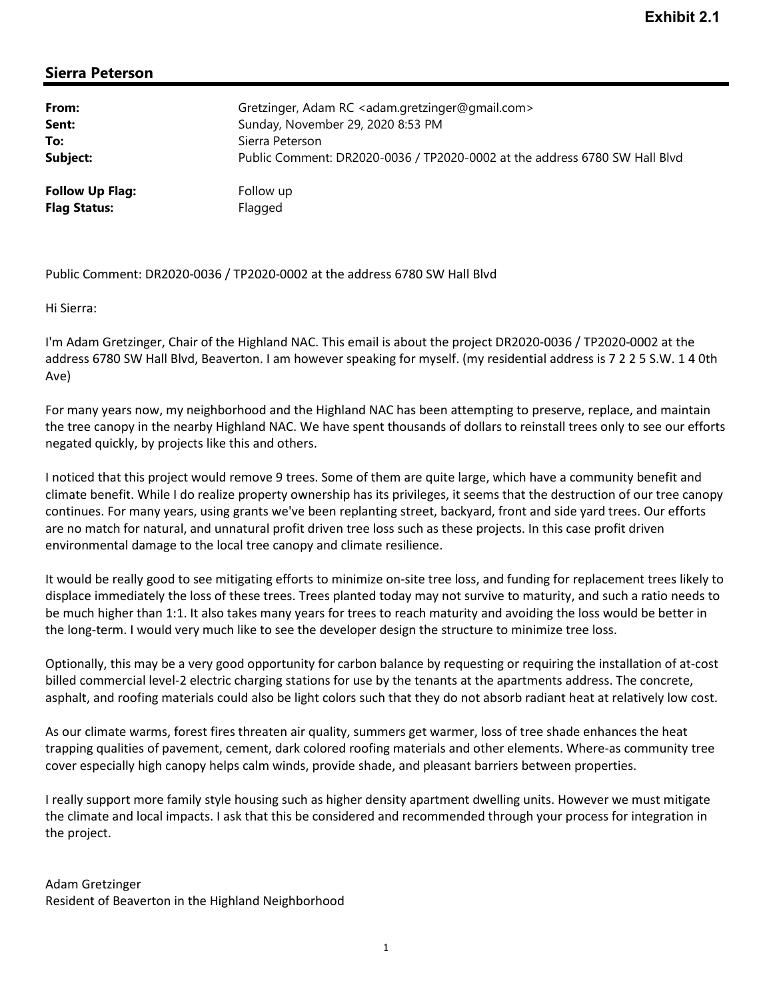| From:                  | Gretzinger, Adam RC <adam.gretzinger@gmail.com></adam.gretzinger@gmail.com> |  |
|------------------------|-----------------------------------------------------------------------------|--|
| Sent:                  | Sunday, November 29, 2020 8:53 PM                                           |  |
| To:                    | Sierra Peterson                                                             |  |
| Subject:               | Public Comment: DR2020-0036 / TP2020-0002 at the address 6780 SW Hall Blvd  |  |
| <b>Follow Up Flag:</b> | Follow up                                                                   |  |
| <b>Flag Status:</b>    | Flagged                                                                     |  |

Public Comment: DR2020-0036 / TP2020-0002 at the address 6780 SW Hall Blvd

Hi Sierra:

I'm Adam Gretzinger, Chair of the Highland NAC. This email is about the project DR2020-0036 / TP2020-0002 at the address 6780 SW Hall Blvd, Beaverton. I am however speaking for myself. (my residential address is 7 2 2 5 S.W. 1 4 0th Ave)

For many years now, my neighborhood and the Highland NAC has been attempting to preserve, replace, and maintain the tree canopy in the nearby Highland NAC. We have spent thousands of dollars to reinstall trees only to see our efforts negated quickly, by projects like this and others.

I noticed that this project would remove 9 trees. Some of them are quite large, which have a community benefit and climate benefit. While I do realize property ownership has its privileges, it seems that the destruction of our tree canopy continues. For many years, using grants we've been replanting street, backyard, front and side yard trees. Our efforts are no match for natural, and unnatural profit driven tree loss such as these projects. In this case profit driven environmental damage to the local tree canopy and climate resilience.

It would be really good to see mitigating efforts to minimize on-site tree loss, and funding for replacement trees likely to displace immediately the loss of these trees. Trees planted today may not survive to maturity, and such a ratio needs to be much higher than 1:1. It also takes many years for trees to reach maturity and avoiding the loss would be better in the long-term. I would very much like to see the developer design the structure to minimize tree loss.

Optionally, this may be a very good opportunity for carbon balance by requesting or requiring the installation of at-cost billed commercial level-2 electric charging stations for use by the tenants at the apartments address. The concrete, asphalt, and roofing materials could also be light colors such that they do not absorb radiant heat at relatively low cost.

As our climate warms, forest fires threaten air quality, summers get warmer, loss of tree shade enhances the heat trapping qualities of pavement, cement, dark colored roofing materials and other elements. Where-as community tree cover especially high canopy helps calm winds, provide shade, and pleasant barriers between properties.

I really support more family style housing such as higher density apartment dwelling units. However we must mitigate the climate and local impacts. I ask that this be considered and recommended through your process for integration in the project.

Adam Gretzinger Resident of Beaverton in the Highland Neighborhood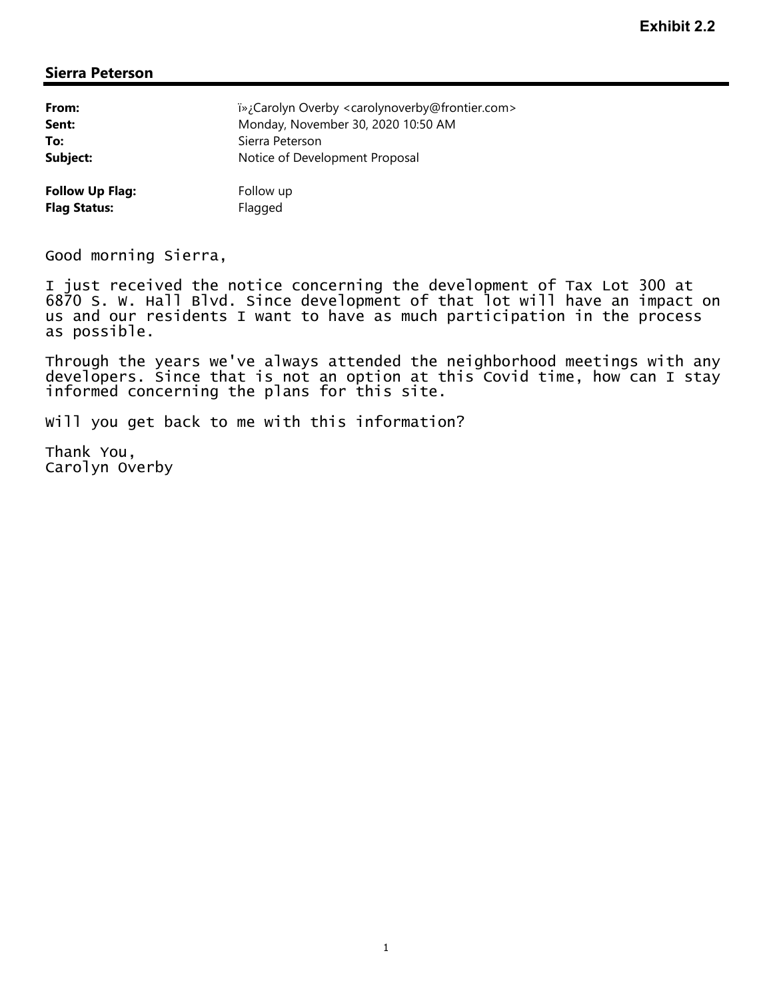| From:                  | i»¿Carolyn Overby <carolynoverby@frontier.com></carolynoverby@frontier.com> |
|------------------------|-----------------------------------------------------------------------------|
| Sent:                  | Monday, November 30, 2020 10:50 AM                                          |
| To:                    | Sierra Peterson                                                             |
| Subject:               | Notice of Development Proposal                                              |
| <b>Follow Up Flag:</b> | Follow up                                                                   |
| <b>Flag Status:</b>    | Flagged                                                                     |

Good morning Sierra,

I just received the notice concerning the development of Tax Lot 300 at 6870 S. W. Hall Blvd. Since development of that lot will have an impact on us and our residents I want to have as much participation in the process as possible.

Through the years we've always attended the neighborhood meetings with any developers. Since that is not an option at this Covid time, how can I stay informed concerning the plans for this site.

Will you get back to me with this information?

Thank You, Carolyn Overby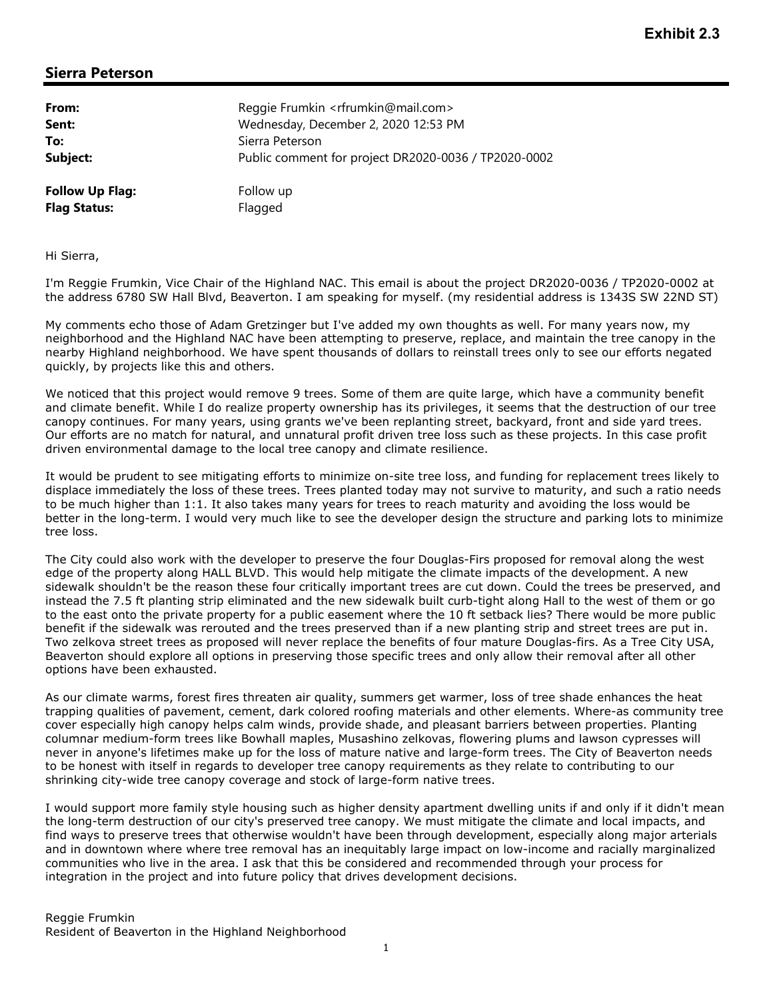| From:                  | Reggie Frumkin <rfrumkin@mail.com></rfrumkin@mail.com> |  |
|------------------------|--------------------------------------------------------|--|
| Sent:                  | Wednesday, December 2, 2020 12:53 PM                   |  |
| To:                    | Sierra Peterson                                        |  |
| Subject:               | Public comment for project DR2020-0036 / TP2020-0002   |  |
| <b>Follow Up Flag:</b> | Follow up                                              |  |
| <b>Flag Status:</b>    | Flagged                                                |  |

Hi Sierra,

I'm Reggie Frumkin, Vice Chair of the Highland NAC. This email is about the project DR2020-0036 / TP2020-0002 at the address 6780 SW Hall Blvd, Beaverton. I am speaking for myself. (my residential address is 1343S SW 22ND ST)

My comments echo those of Adam Gretzinger but I've added my own thoughts as well. For many years now, my neighborhood and the Highland NAC have been attempting to preserve, replace, and maintain the tree canopy in the nearby Highland neighborhood. We have spent thousands of dollars to reinstall trees only to see our efforts negated quickly, by projects like this and others.

We noticed that this project would remove 9 trees. Some of them are quite large, which have a community benefit and climate benefit. While I do realize property ownership has its privileges, it seems that the destruction of our tree canopy continues. For many years, using grants we've been replanting street, backyard, front and side yard trees. Our efforts are no match for natural, and unnatural profit driven tree loss such as these projects. In this case profit driven environmental damage to the local tree canopy and climate resilience.

It would be prudent to see mitigating efforts to minimize on-site tree loss, and funding for replacement trees likely to displace immediately the loss of these trees. Trees planted today may not survive to maturity, and such a ratio needs to be much higher than 1:1. It also takes many years for trees to reach maturity and avoiding the loss would be better in the long-term. I would very much like to see the developer design the structure and parking lots to minimize tree loss.

The City could also work with the developer to preserve the four Douglas-Firs proposed for removal along the west edge of the property along HALL BLVD. This would help mitigate the climate impacts of the development. A new sidewalk shouldn't be the reason these four critically important trees are cut down. Could the trees be preserved, and instead the 7.5 ft planting strip eliminated and the new sidewalk built curb-tight along Hall to the west of them or go to the east onto the private property for a public easement where the 10 ft setback lies? There would be more public benefit if the sidewalk was rerouted and the trees preserved than if a new planting strip and street trees are put in. Two zelkova street trees as proposed will never replace the benefits of four mature Douglas-firs. As a Tree City USA, Beaverton should explore all options in preserving those specific trees and only allow their removal after all other options have been exhausted.

As our climate warms, forest fires threaten air quality, summers get warmer, loss of tree shade enhances the heat trapping qualities of pavement, cement, dark colored roofing materials and other elements. Where-as community tree cover especially high canopy helps calm winds, provide shade, and pleasant barriers between properties. Planting columnar medium-form trees like Bowhall maples, Musashino zelkovas, flowering plums and lawson cypresses will never in anyone's lifetimes make up for the loss of mature native and large-form trees. The City of Beaverton needs to be honest with itself in regards to developer tree canopy requirements as they relate to contributing to our shrinking city-wide tree canopy coverage and stock of large-form native trees.

I would support more family style housing such as higher density apartment dwelling units if and only if it didn't mean the long-term destruction of our city's preserved tree canopy. We must mitigate the climate and local impacts, and find ways to preserve trees that otherwise wouldn't have been through development, especially along major arterials and in downtown where where tree removal has an inequitably large impact on low-income and racially marginalized communities who live in the area. I ask that this be considered and recommended through your process for integration in the project and into future policy that drives development decisions.